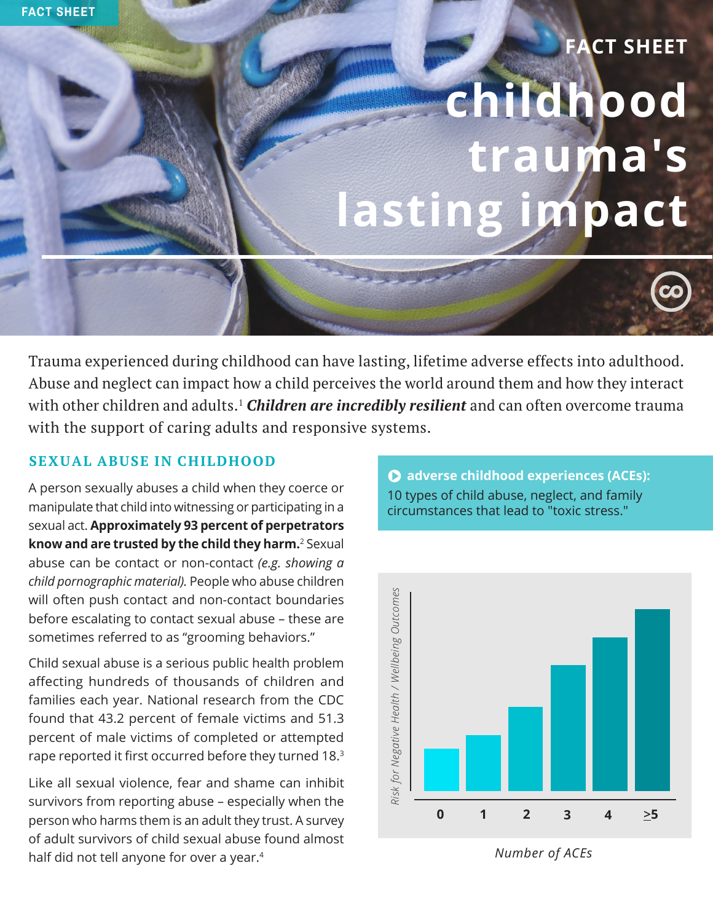# **childhood trauma's lasting impact FACT SHEET**

Trauma experienced during childhood can have lasting, lifetime adverse effects into adulthood. Abuse and neglect can impact how a child perceives the world around them and how they interact with other children and adults.<sup>1</sup> *Children are incredibly resilient* and can often overcome trauma with the support of caring adults and responsive systems.

# **SEXUAL ABUSE IN CHILDHOOD**

A person sexually abuses a child when they coerce or manipulate that child into witnessing or participating in a sexual act. **Approximately 93 percent of perpetrators know and are trusted by the child they harm.**<sup>2</sup> Sexual abuse can be contact or non-contact *(e.g. showing a child pornographic material).* People who abuse children will often push contact and non-contact boundaries before escalating to contact sexual abuse – these are sometimes referred to as "grooming behaviors."

Child sexual abuse is a serious public health problem affecting hundreds of thousands of children and families each year. National research from the CDC found that 43.2 percent of female victims and 51.3 percent of male victims of completed or attempted rape reported it first occurred before they turned 18.<sup>3</sup>

Like all sexual violence, fear and shame can inhibit survivors from reporting abuse – especially when the person who harms them is an adult they trust. A survey of adult survivors of child sexual abuse found almost half did not tell anyone for over a year.<sup>4</sup>



*Number of ACEs*

## **adverse childhood experiences (ACEs):** 10 types of child abuse, neglect, and family circumstances that lead to "toxic stress."